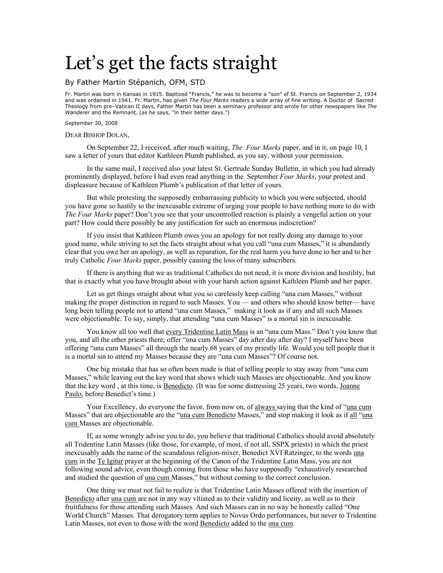# Let's get the facts straight

### By Father Martin Stépanich, OFM, STD

Fr. Martin was born in Kansas in 1915. Baptized "Francis," he was to become a "son" of St. Francis on September 2, 1934 and was ordained in 1941. Fr. Martin, has given *The Four Marks* readers a wide array of fine writing. A Doctor of Sacred Theology from pre–Vatican II days, Father Martin has been a seminary professor and wrote for other newspapers like *The Wanderer* and the *Remnant,* (as he says, "in their better days.")

#### September 30, 2008

#### DEAR BISHOP DOLAN,

 On September 22, I received, after much waiting, *The Four Marks* paper, and in it, on page 10, I saw a letter of yours that editor Kathleen Plumb published, as you say, without your permission.

 In the same mail, I received also your latest St. Gertrude Sunday Bulletin, in which you had already prominently displayed, before I had even read anything in the September *Four Marks*, your protest and displeasure because of Kathleen Plumb's publication of that letter of yours.

 But while protesting the supposedly embarrassing publicity to which you were subjected, should you have gone so hastily to the inexcusable extreme of urging your people to have nothing more to do with *The Four Marks* paper? Don't you see that your uncontrolled reaction is plainly a vengeful action on your part? How could there possibly be any justification for such an enormous indiscretion?

 If you insist that Kathleen Plumb owes you an apology for not really doing any damage to your good name, while striving to set the facts straight about what you call "una cum Masses," it is abundantly clear that you owe her an apology, as well as reparation, for the real harm you have done to her and to her truly Catholic *Four Marks* paper, possibly causing the loss of many subscribers.

 If there is anything that we as traditional Catholics do not need, it is more division and hostility, but that is exactly what you have brought about with your harsh action against Kathleen Plumb and her paper.

 Let us get things straight about what you so carelessly keep calling "una cum Masses," without making the proper distinction in regard to such Masses. You — and others who should know better— have long been telling people not to attend "una cum Masses," making it look as if any and all such Masses were objectionable. To say, simply, that attending "una cum Masses" is a mortal sin is inexcusable.

 You know all too well that every Tridentine Latin Mass is an "una cum Mass." Don't you know that you, and all the other priests there, offer "una cum Masses" day after day after day? I myself have been offering "una cum Masses" all through the nearly 68 years of my priestly life. Would you tell people that it is a mortal sin to attend my Masses because they are "una cum Masses"? Of course not.

 One big mistake that has so often been made is that of telling people to stay away from "una cum Masses," while leaving out the key word that shows which such Masses are objectionable. And you know that the key word , at this time, is Benedicto. (It was for some distressing 25 years, two words, Joanne Paulo, before Benedict's time.)

 Your Excellency, do everyone the favor, from now on, of always saying that the kind of "una cum Masses" that are objectionable are the "una cum Benedicto Masses," and stop making it look as if all "una cum Masses are objectionable.

 If, as some wrongly advise you to do, you believe that traditional Catholics should avoid absolutely all Tridentine Latin Masses (like those, for example, of most, if not all, SSPX priests) in which the priest inexcusably adds the name of the scandalous religion-mixer, Benedict XVI Ratzinger, to the words una cum in the Te Igitur prayer at the beginning of the Canon of the Tridentine Latin Mass, you are not following sound advice, even though coming from those who have supposedly "exhaustively researched and studied the question of una cum Masses," but without coming to the correct conclusion.

 One thing we must not fail to realize is that Tridentine Latin Masses offered with the insertion of Benedicto after una cum are not in any way vitiated as to their validity and liceity, as well as to their fruitfulness for those attending such Masses. And such Masses can in no way be honestly called "One World Church" Masses. That derogatory term applies to Novus Ordo performances, but never to Tridentine Latin Masses, not even to those with the word Benedicto added to the una cum.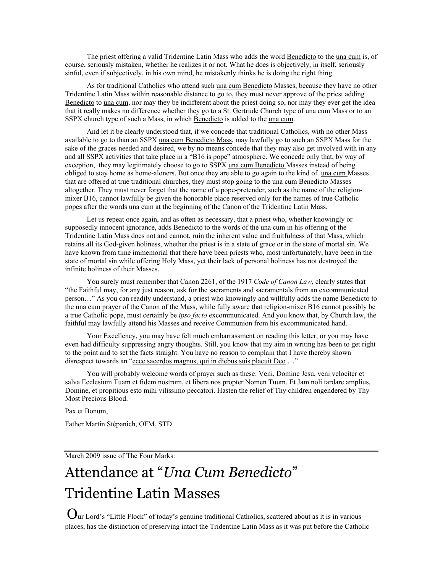The priest offering a valid Tridentine Latin Mass who adds the word Benedicto to the una cum is, of course, seriously mistaken, whether he realizes it or not. What he does is objectively, in itself, seriously sinful, even if subjectively, in his own mind, he mistakenly thinks he is doing the right thing.

 As for traditional Catholics who attend such una cum Benedicto Masses, because they have no other Tridentine Latin Mass within reasonable distance to go to, they must never approve of the priest adding Benedicto to una cum, nor may they be indifferent about the priest doing so, nor may they ever get the idea that it really makes no difference whether they go to a St. Gertrude Church type of una cum Mass or to an SSPX church type of such a Mass, in which Benedicto is added to the una cum.

 And let it be clearly understood that, if we concede that traditional Catholics, with no other Mass available to go to than an SSPX una cum Benedicto Mass, may lawfully go to such an SSPX Mass for the sake of the graces needed and desired, we by no means concede that they may also get involved with in any and all SSPX activities that take place in a "B16 is pope" atmosphere. We concede only that, by way of exception, they may legitimately choose to go to SSPX una cum Benedicto Masses instead of being obliged to stay home as home-aloners. But once they are able to go again to the kind of una cum Masses that are offered at true traditional churches, they must stop going to the una cum Benedicto Masses altogether. They must never forget that the name of a pope-pretender, such as the name of the religionmixer B16, cannot lawfully be given the honorable place reserved only for the names of true Catholic popes after the words una cum at the beginning of the Canon of the Tridentine Latin Mass.

 Let us repeat once again, and as often as necessary, that a priest who, whether knowingly or supposedly innocent ignorance, adds Benedicto to the words of the una cum in his offering of the Tridentine Latin Mass does not and cannot, ruin the inherent value and fruitfulness of that Mass, which retains all its God-given holiness, whether the priest is in a state of grace or in the state of mortal sin. We have known from time immemorial that there have been priests who, most unfortunately, have been in the state of mortal sin while offering Holy Mass, yet their lack of personal holiness has not destroyed the infinite holiness of their Masses.

 You surely must remember that Canon 2261, of the 1917 *Code of Canon Law*, clearly states that "the Faithful may, for any just reason, ask for the sacraments and sacramentals from an excommunicated person…" As you can readily understand, a priest who knowingly and willfully adds the name Benedicto to the una cum prayer of the Canon of the Mass, while fully aware that religion-mixer B16 cannot possibly be a true Catholic pope, must certainly be *ipso facto* excommunicated. And you know that, by Church law, the faithful may lawfully attend his Masses and receive Communion from his excommunicated hand.

 Your Excellency, you may have felt much embarrassment on reading this letter, or you may have even had difficulty suppressing angry thoughts. Still, you know that my aim in writing has been to get right to the point and to set the facts straight. You have no reason to complain that I have thereby shown disrespect towards an "ecce sacerdos magnus, qui in diebus suis placuit Deo …"

 You will probably welcome words of prayer such as these: Veni, Domine Jesu, veni velociter et salva Ecclesium Tuam et fidem nostrum, et libera nos propter Nomen Tuum. Et Jam noli tardare amplius, Domine, et propitious esto mihi vilissimo peccatori. Hasten the relief of Thy children engendered by Thy Most Precious Blood.

Pax et Bonum,

Father Martin Stépanich, OFM, STD

March 2009 issue of The Four Marks:

## Attendance at "*Una Cum Benedicto*" Tridentine Latin Masses

Our Lord's "Little Flock" of today's genuine traditional Catholics, scattered about as it is in various places, has the distinction of preserving intact the Tridentine Latin Mass as it was put before the Catholic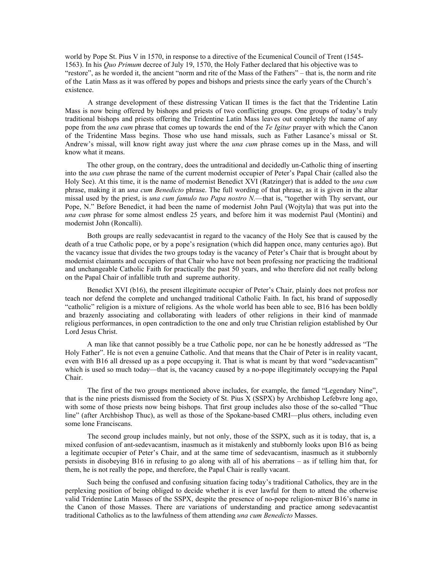world by Pope St. Pius V in 1570, in response to a directive of the Ecumenical Council of Trent (1545- 1563). In his *Quo Primum* decree of July 19, 1570, the Holy Father declared that his objective was to "restore", as he worded it, the ancient "norm and rite of the Mass of the Fathers" – that is, the norm and rite of the Latin Mass as it was offered by popes and bishops and priests since the early years of the Church's existence.

 A strange development of these distressing Vatican II times is the fact that the Tridentine Latin Mass is now being offered by bishops and priests of two conflicting groups. One groups of today's truly traditional bishops and priests offering the Tridentine Latin Mass leaves out completely the name of any pope from the *una cum* phrase that comes up towards the end of the *Te Igitur* prayer with which the Canon of the Tridentine Mass begins. Those who use hand missals, such as Father Lasance's missal or St. Andrew's missal, will know right away just where the *una cum* phrase comes up in the Mass, and will know what it means.

 The other group, on the contrary, does the untraditional and decidedly un-Catholic thing of inserting into the *una cum* phrase the name of the current modernist occupier of Peter's Papal Chair (called also the Holy See). At this time, it is the name of modernist Benedict XVI (Ratzinger) that is added to the *una cum* phrase, making it an *una cum Benedicto* phrase. The full wording of that phrase, as it is given in the altar missal used by the priest, is *una cum famulo tuo Papa nostro N.*—that is, "together with Thy servant, our Pope, N." Before Benedict, it had been the name of modernist John Paul (Wojtyla) that was put into the *una cum* phrase for some almost endless 25 years, and before him it was modernist Paul (Montini) and modernist John (Roncalli).

 Both groups are really sedevacantist in regard to the vacancy of the Holy See that is caused by the death of a true Catholic pope, or by a pope's resignation (which did happen once, many centuries ago). But the vacancy issue that divides the two groups today is the vacancy of Peter's Chair that is brought about by modernist claimants and occupiers of that Chair who have not been professing nor practicing the traditional and unchangeable Catholic Faith for practically the past 50 years, and who therefore did not really belong on the Papal Chair of infallible truth and supreme authority.

 Benedict XVI (b16), the present illegitimate occupier of Peter's Chair, plainly does not profess nor teach nor defend the complete and unchanged traditional Catholic Faith. In fact, his brand of supposedly "catholic" religion is a mixture of religions. As the whole world has been able to see, B16 has been boldly and brazenly associating and collaborating with leaders of other religions in their kind of manmade religious performances, in open contradiction to the one and only true Christian religion established by Our Lord Jesus Christ.

 A man like that cannot possibly be a true Catholic pope, nor can he be honestly addressed as "The Holy Father". He is not even a genuine Catholic. And that means that the Chair of Peter is in reality vacant, even with B16 all dressed up as a pope occupying it. That is what is meant by that word "sedevacantism" which is used so much today—that is, the vacancy caused by a no-pope illegitimately occupying the Papal Chair.

 The first of the two groups mentioned above includes, for example, the famed "Legendary Nine", that is the nine priests dismissed from the Society of St. Pius X (SSPX) by Archbishop Lefebvre long ago, with some of those priests now being bishops. That first group includes also those of the so-called "Thuc line" (after Archbishop Thuc), as well as those of the Spokane-based CMRI—plus others, including even some lone Franciscans.

 The second group includes mainly, but not only, those of the SSPX, such as it is today, that is, a mixed confusion of ant-sedevacantism, inasmuch as it mistakenly and stubbornly looks upon B16 as being a legitimate occupier of Peter's Chair, and at the same time of sedevacantism, inasmuch as it stubbornly persists in disobeying B16 in refusing to go along with all of his aberrations – as if telling him that, for them, he is not really the pope, and therefore, the Papal Chair is really vacant.

 Such being the confused and confusing situation facing today's traditional Catholics, they are in the perplexing position of being obliged to decide whether it is ever lawful for them to attend the otherwise valid Tridentine Latin Masses of the SSPX, despite the presence of no-pope religion-mixer B16's name in the Canon of those Masses. There are variations of understanding and practice among sedevacantist traditional Catholics as to the lawfulness of them attending *una cum Benedicto* Masses.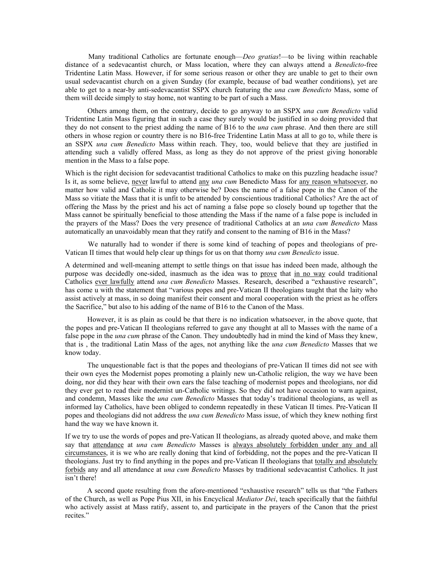Many traditional Catholics are fortunate enough—*Deo gratias*!—to be living within reachable distance of a sedevacantist church, or Mass location, where they can always attend a *Benedicto*-free Tridentine Latin Mass. However, if for some serious reason or other they are unable to get to their own usual sedevacantist church on a given Sunday (for example, because of bad weather conditions), yet are able to get to a near-by anti-sedevacantist SSPX church featuring the *una cum Benedicto* Mass, some of them will decide simply to stay home, not wanting to be part of such a Mass.

 Others among them, on the contrary, decide to go anyway to an SSPX *una cum Benedicto* valid Tridentine Latin Mass figuring that in such a case they surely would be justified in so doing provided that they do not consent to the priest adding the name of B16 to the *una cum* phrase. And then there are still others in whose region or country there is no B16-free Tridentine Latin Mass at all to go to, while there is an SSPX *una cum Benedicto* Mass within reach. They, too, would believe that they are justified in attending such a validly offered Mass, as long as they do not approve of the priest giving honorable mention in the Mass to a false pope.

Which is the right decision for sedevacantist traditional Catholics to make on this puzzling headache issue? Is it, as some believe, never lawful to attend any *una cum* Benedicto Mass for any reason whatsoever, no matter how valid and Catholic it may otherwise be? Does the name of a false pope in the Canon of the Mass so vitiate the Mass that it is unfit to be attended by conscientious traditional Catholics? Are the act of offering the Mass by the priest and his act of naming a false pope so closely bound up together that the Mass cannot be spiritually beneficial to those attending the Mass if the name of a false pope is included in the prayers of the Mass? Does the very presence of traditional Catholics at an *una cum Benedicto* Mass automatically an unavoidably mean that they ratify and consent to the naming of B16 in the Mass?

 We naturally had to wonder if there is some kind of teaching of popes and theologians of pre-Vatican II times that would help clear up things for us on that thorny *una cum Benedicto* issue.

A determined and well-meaning attempt to settle things on that issue has indeed been made, although the purpose was decidedly one-sided, inasmuch as the idea was to prove that in no way could traditional Catholics ever lawfully attend *una cum Benedicto* Masses. Research, described a "exhaustive research", has come u with the statement that "various popes and pre-Vatican II theologians taught that the laity who assist actively at mass, in so doing manifest their consent and moral cooperation with the priest as he offers the Sacrifice," but also to his adding of the name of B16 to the Canon of the Mass.

 However, it is as plain as could be that there is no indication whatsoever, in the above quote, that the popes and pre-Vatican II theologians referred to gave any thought at all to Masses with the name of a false pope in the *una cum* phrase of the Canon. They undoubtedly had in mind the kind of Mass they knew, that is , the traditional Latin Mass of the ages, not anything like the *una cum Benedicto* Masses that we know today.

 The unquestionable fact is that the popes and theologians of pre-Vatican II times did not see with their own eyes the Modernist popes promoting a plainly new un-Catholic religion, the way we have been doing, nor did they hear with their own ears the false teaching of modernist popes and theologians, nor did they ever get to read their modernist un-Catholic writings. So they did not have occasion to warn against, and condemn, Masses like the *una cum Benedicto* Masses that today's traditional theologians, as well as informed lay Catholics, have been obliged to condemn repeatedly in these Vatican II times. Pre-Vatican II popes and theologians did not address the *una cum Benedicto* Mass issue, of which they knew nothing first hand the way we have known it.

If we try to use the words of popes and pre-Vatican II theologians, as already quoted above, and make them say that attendance at *una cum Benedicto* Masses is always absolutely forbidden under any and all circumstances, it is we who are really doning that kind of forbidding, not the popes and the pre-Vatican II theologians. Just try to find anything in the popes and pre-Vatican II theologians that totally and absolutely forbids any and all attendance at *una cum Benedicto* Masses by traditional sedevacantist Catholics. It just isn't there!

 A second quote resulting from the afore-mentioned "exhaustive research" tells us that "the Fathers of the Church, as well as Pope Pius XII, in his Encyclical *Mediator Dei*, teach specifically that the faithful who actively assist at Mass ratify, assent to, and participate in the prayers of the Canon that the priest recites."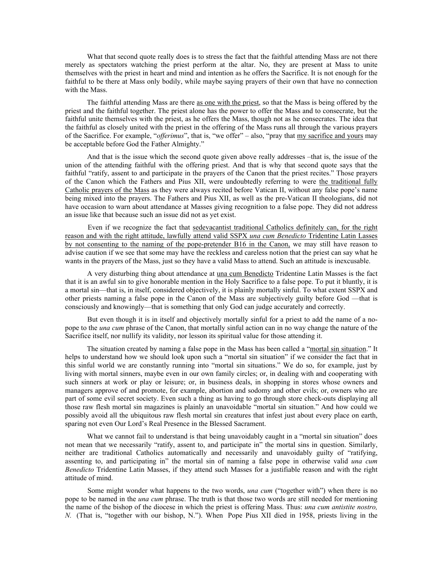What that second quote really does is to stress the fact that the faithful attending Mass are not there merely as spectators watching the priest perform at the altar. No, they are present at Mass to unite themselves with the priest in heart and mind and intention as he offers the Sacrifice. It is not enough for the faithful to be there at Mass only bodily, while maybe saying prayers of their own that have no connection with the Mass.

 The faithful attending Mass are there as one with the priest, so that the Mass is being offered by the priest and the faithful together. The priest alone has the power to offer the Mass and to consecrate, but the faithful unite themselves with the priest, as he offers the Mass, though not as he consecrates. The idea that the faithful as closely united with the priest in the offering of the Mass runs all through the various prayers of the Sacrifice. For example, "*offerimus*", that is, "we offer" – also, "pray that my sacrifice and yours may be acceptable before God the Father Almighty."

 And that is the issue which the second quote given above really addresses –that is, the issue of the union of the attending faithful with the offering priest. And that is why that second quote says that the faithful "ratify, assent to and participate in the prayers of the Canon that the priest recites." Those prayers of the Canon which the Fathers and Pius XII, were undoubtedly referring to were the traditional fully Catholic prayers of the Mass as they were always recited before Vatican II, without any false pope's name being mixed into the prayers. The Fathers and Pius XII, as well as the pre-Vatican II theologians, did not have occasion to warn about attendance at Masses giving recognition to a false pope. They did not address an issue like that because such an issue did not as yet exist.

 Even if we recognize the fact that sedevacantist traditional Catholics definitely can, for the right reason and with the right attitude, lawfully attend valid SSPX *una cum Benedicto* Tridentine Latin Lasses by not consenting to the naming of the pope-pretender B16 in the Canon, we may still have reason to advise caution if we see that some may have the reckless and careless notion that the priest can say what he wants in the prayers of the Mass, just so they have a valid Mass to attend. Such an attitude is inexcusable.

 A very disturbing thing about attendance at una cum Benedicto Tridentine Latin Masses is the fact that it is an awful sin to give honorable mention in the Holy Sacrifice to a false pope. To put it bluntly, it is a mortal sin—that is, in itself, considered objectively, it is plainly mortally sinful. To what extent SSPX and other priests naming a false pope in the Canon of the Mass are subjectively guilty before God —that is consciously and knowingly—that is something that only God can judge accurately and correctly.

 But even though it is in itself and objectively mortally sinful for a priest to add the name of a nopope to the *una cum* phrase of the Canon, that mortally sinful action can in no way change the nature of the Sacrifice itself, nor nullify its validity, nor lesson its spiritual value for those attending it.

 The situation created by naming a false pope in the Mass has been called a "mortal sin situation." It helps to understand how we should look upon such a "mortal sin situation" if we consider the fact that in this sinful world we are constantly running into "mortal sin situations." We do so, for example, just by living with mortal sinners, maybe even in our own family circles; or, in dealing with and cooperating with such sinners at work or play or leisure; or, in business deals, in shopping in stores whose owners and managers approve of and promote, for example, abortion and sodomy and other evils; or, owners who are part of some evil secret society. Even such a thing as having to go through store check-outs displaying all those raw flesh mortal sin magazines is plainly an unavoidable "mortal sin situation." And how could we possibly avoid all the ubiquitous raw flesh mortal sin creatures that infest just about every place on earth, sparing not even Our Lord's Real Presence in the Blessed Sacrament.

What we cannot fail to understand is that being unavoidably caught in a "mortal sin situation" does not mean that we necessarily "ratify, assent to, and participate in" the mortal sins in question. Similarly, neither are traditional Catholics automatically and necessarily and unavoidably guilty of "ratifying, assenting to, and participating in" the mortal sin of naming a false pope in otherwise valid *una cum Benedicto* Tridentine Latin Masses, if they attend such Masses for a justifiable reason and with the right attitude of mind.

 Some might wonder what happens to the two words, *una cum* ("together with") when there is no pope to be named in the *una cum* phrase. The truth is that those two words are still needed for mentioning the name of the bishop of the diocese in which the priest is offering Mass. Thus: *una cum antistite nostro, N.* (That is, "together with our bishop, N."). When Pope Pius XII died in 1958, priests living in the